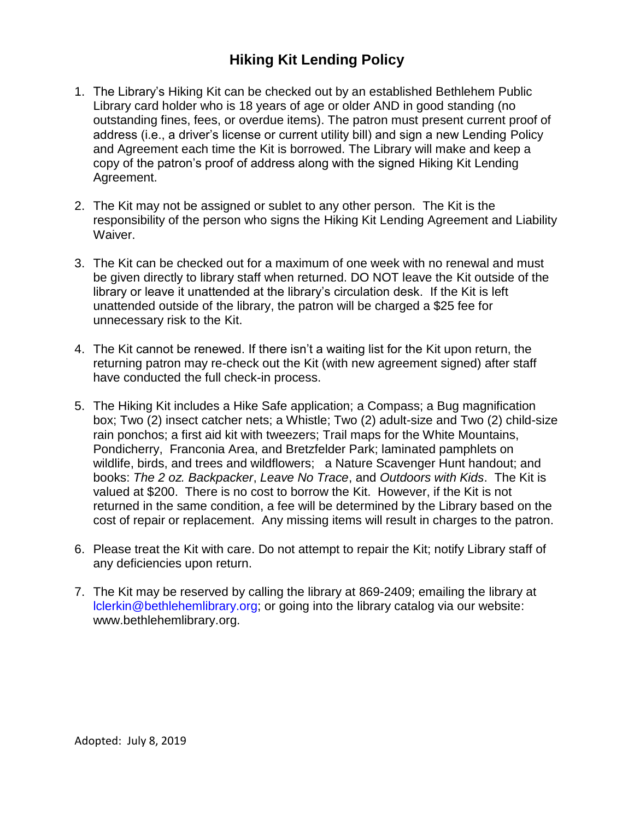## **Hiking Kit Lending Policy**

- 1. The Library's Hiking Kit can be checked out by an established Bethlehem Public Library card holder who is 18 years of age or older AND in good standing (no outstanding fines, fees, or overdue items). The patron must present current proof of address (i.e., a driver's license or current utility bill) and sign a new Lending Policy and Agreement each time the Kit is borrowed. The Library will make and keep a copy of the patron's proof of address along with the signed Hiking Kit Lending Agreement.
- 2. The Kit may not be assigned or sublet to any other person. The Kit is the responsibility of the person who signs the Hiking Kit Lending Agreement and Liability Waiver.
- 3. The Kit can be checked out for a maximum of one week with no renewal and must be given directly to library staff when returned. DO NOT leave the Kit outside of the library or leave it unattended at the library's circulation desk. If the Kit is left unattended outside of the library, the patron will be charged a \$25 fee for unnecessary risk to the Kit.
- 4. The Kit cannot be renewed. If there isn't a waiting list for the Kit upon return, the returning patron may re-check out the Kit (with new agreement signed) after staff have conducted the full check-in process.
- 5. The Hiking Kit includes a Hike Safe application; a Compass; a Bug magnification box; Two (2) insect catcher nets; a Whistle; Two (2) adult-size and Two (2) child-size rain ponchos; a first aid kit with tweezers; Trail maps for the White Mountains, Pondicherry, Franconia Area, and Bretzfelder Park; laminated pamphlets on wildlife, birds, and trees and wildflowers; a Nature Scavenger Hunt handout; and books: *The 2 oz. Backpacker*, *Leave No Trace*, and *Outdoors with Kids*. The Kit is valued at \$200. There is no cost to borrow the Kit. However, if the Kit is not returned in the same condition, a fee will be determined by the Library based on the cost of repair or replacement. Any missing items will result in charges to the patron.
- 6. Please treat the Kit with care. Do not attempt to repair the Kit; notify Library staff of any deficiencies upon return.
- 7. The Kit may be reserved by calling the library at 869-2409; emailing the library at lclerkin@bethlehemlibrary.org; or going into the library catalog via our website: www.bethlehemlibrary.org.